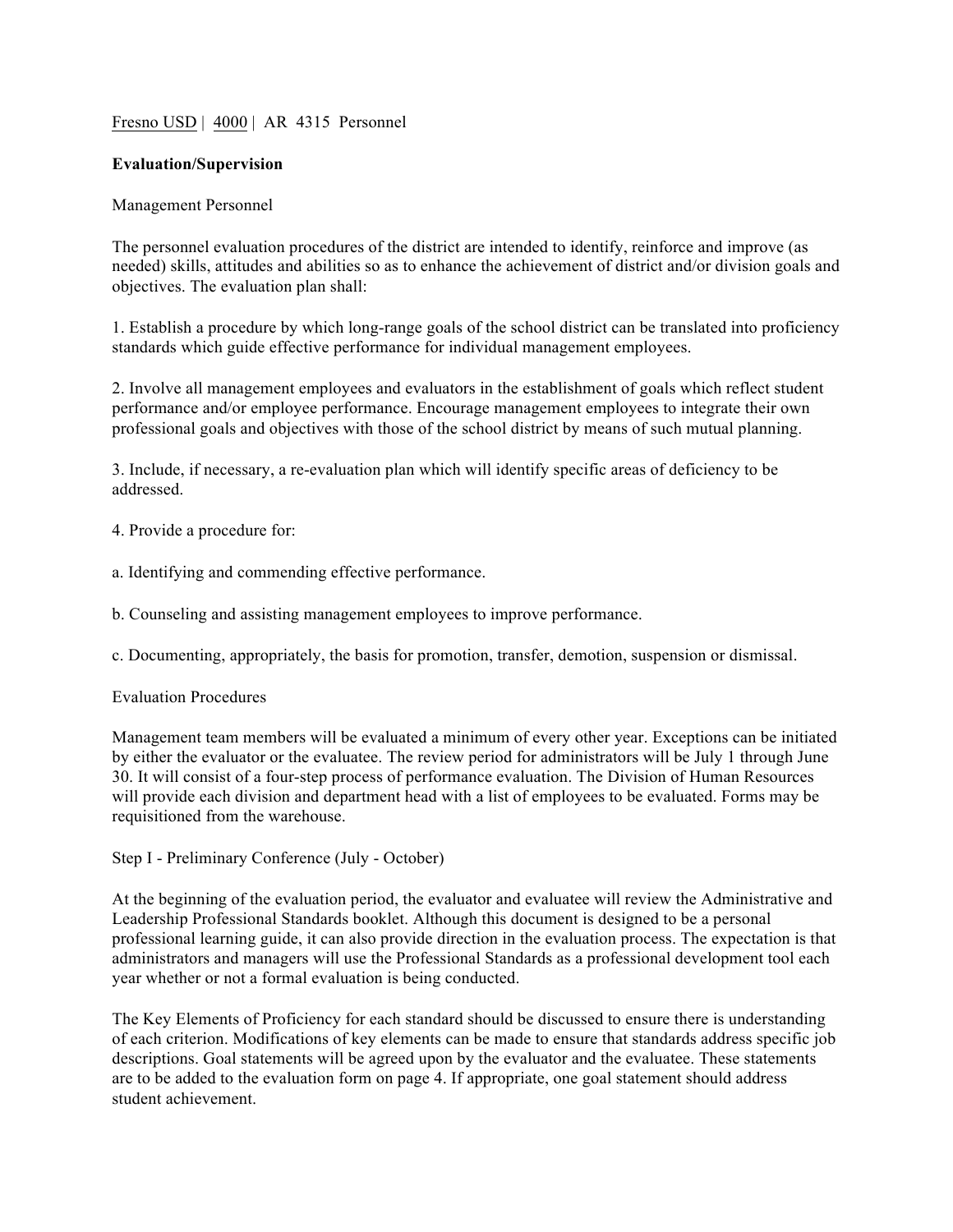## Fresno USD | 4000 | AR 4315 Personnel

## **Evaluation/Supervision**

## Management Personnel

The personnel evaluation procedures of the district are intended to identify, reinforce and improve (as needed) skills, attitudes and abilities so as to enhance the achievement of district and/or division goals and objectives. The evaluation plan shall:

1. Establish a procedure by which long-range goals of the school district can be translated into proficiency standards which guide effective performance for individual management employees.

2. Involve all management employees and evaluators in the establishment of goals which reflect student performance and/or employee performance. Encourage management employees to integrate their own professional goals and objectives with those of the school district by means of such mutual planning.

3. Include, if necessary, a re-evaluation plan which will identify specific areas of deficiency to be addressed.

4. Provide a procedure for:

a. Identifying and commending effective performance.

b. Counseling and assisting management employees to improve performance.

c. Documenting, appropriately, the basis for promotion, transfer, demotion, suspension or dismissal.

## Evaluation Procedures

Management team members will be evaluated a minimum of every other year. Exceptions can be initiated by either the evaluator or the evaluatee. The review period for administrators will be July 1 through June 30. It will consist of a four-step process of performance evaluation. The Division of Human Resources will provide each division and department head with a list of employees to be evaluated. Forms may be requisitioned from the warehouse.

Step I - Preliminary Conference (July - October)

At the beginning of the evaluation period, the evaluator and evaluatee will review the Administrative and Leadership Professional Standards booklet. Although this document is designed to be a personal professional learning guide, it can also provide direction in the evaluation process. The expectation is that administrators and managers will use the Professional Standards as a professional development tool each year whether or not a formal evaluation is being conducted.

The Key Elements of Proficiency for each standard should be discussed to ensure there is understanding of each criterion. Modifications of key elements can be made to ensure that standards address specific job descriptions. Goal statements will be agreed upon by the evaluator and the evaluatee. These statements are to be added to the evaluation form on page 4. If appropriate, one goal statement should address student achievement.